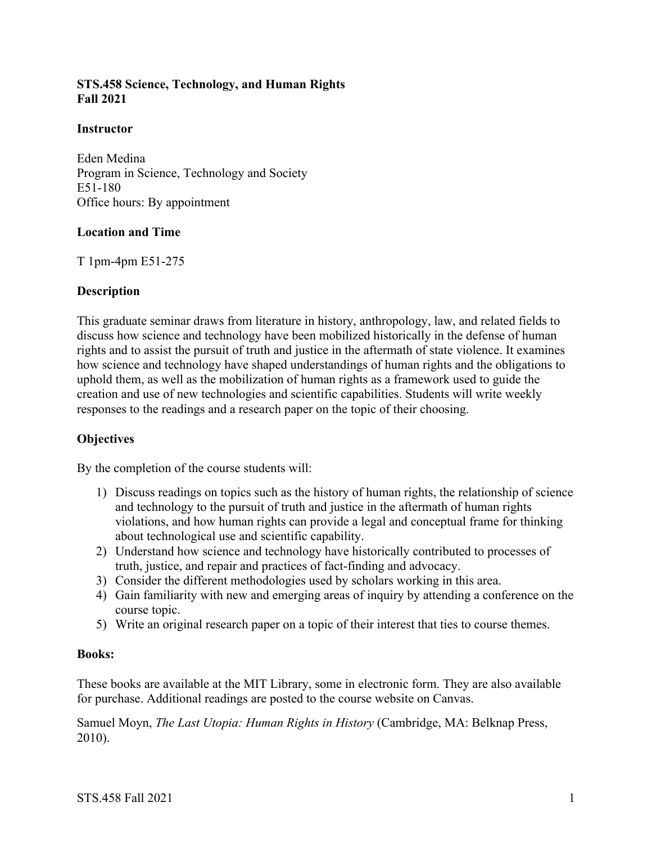## **STS.458 Science, Technology, and Human Rights Fall 2021**

#### **Instructor**

Eden Medina Program in Science, Technology and Society E51-180 Office hours: By appointment

#### **Location and Time**

T 1pm-4pm E51-275

#### **Description**

This graduate seminar draws from literature in history, anthropology, law, and related fields to discuss how science and technology have been mobilized historically in the defense of human rights and to assist the pursuit of truth and justice in the aftermath of state violence. It examines how science and technology have shaped understandings of human rights and the obligations to uphold them, as well as the mobilization of human rights as a framework used to guide the creation and use of new technologies and scientific capabilities. Students will write weekly responses to the readings and a research paper on the topic of their choosing.

#### **Objectives**

By the completion of the course students will:

- 1) Discuss readings on topics such as the history of human rights, the relationship of science and technology to the pursuit of truth and justice in the aftermath of human rights violations, and how human rights can provide a legal and conceptual frame for thinking about technological use and scientific capability.
- 2) Understand how science and technology have historically contributed to processes of truth, justice, and repair and practices of fact-finding and advocacy.
- 3) Consider the different methodologies used by scholars working in this area.
- 4) Gain familiarity with new and emerging areas of inquiry by attending a conference on the course topic.
- 5) Write an original research paper on a topic of their interest that ties to course themes.

#### **Books:**

These books are available at the MIT Library, some in electronic form. They are also available for purchase. Additional readings are posted to the course website on Canvas.

Samuel Moyn, *The Last Utopia: Human Rights in History* (Cambridge, MA: Belknap Press, 2010).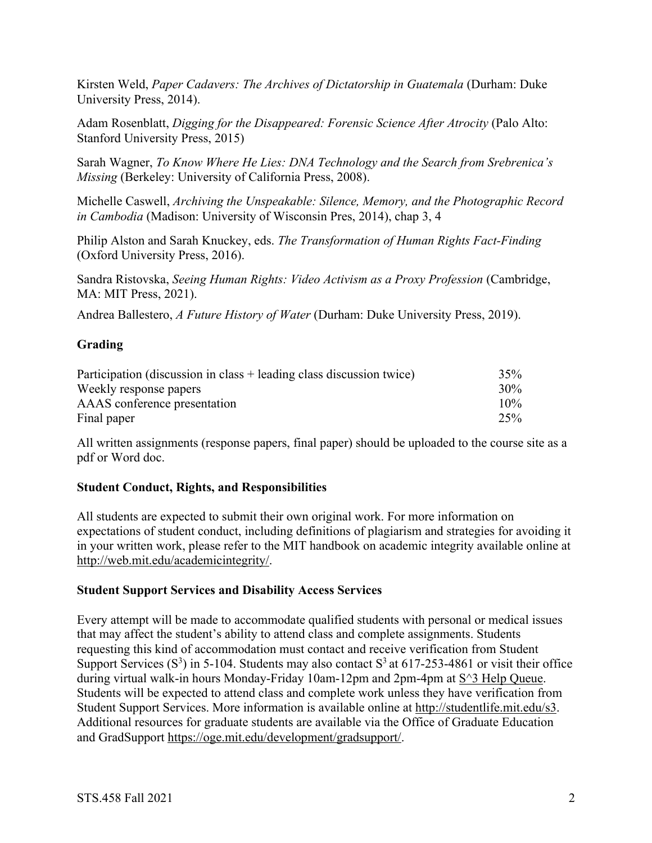Kirsten Weld, *Paper Cadavers: The Archives of Dictatorship in Guatemala* (Durham: Duke University Press, 2014).

Adam Rosenblatt, *Digging for the Disappeared: Forensic Science After Atrocity* (Palo Alto: Stanford University Press, 2015)

Sarah Wagner, *To Know Where He Lies: DNA Technology and the Search from Srebrenica's Missing* (Berkeley: University of California Press, 2008).

Michelle Caswell, *Archiving the Unspeakable: Silence, Memory, and the Photographic Record in Cambodia* (Madison: University of Wisconsin Pres, 2014), chap 3, 4

Philip Alston and Sarah Knuckey, eds. *The Transformation of Human Rights Fact-Finding* (Oxford University Press, 2016).

Sandra Ristovska, *Seeing Human Rights: Video Activism as a Proxy Profession* (Cambridge, MA: MIT Press, 2021).

Andrea Ballestero, *A Future History of Water* (Durham: Duke University Press, 2019).

# **Grading**

| Participation (discussion in class + leading class discussion twice) | 35%    |
|----------------------------------------------------------------------|--------|
| Weekly response papers                                               | $30\%$ |
| AAAS conference presentation                                         | $10\%$ |
| Final paper                                                          | 25%    |

All written assignments (response papers, final paper) should be uploaded to the course site as a pdf or Word doc.

## **Student Conduct, Rights, and Responsibilities**

All students are expected to submit their own original work. For more information on expectations of student conduct, including definitions of plagiarism and strategies for avoiding it in your written work, please refer to the MIT handbook on academic integrity available online at http://web.mit.edu/academicintegrity/.

## **Student Support Services and Disability Access Services**

Every attempt will be made to accommodate qualified students with personal or medical issues that may affect the student's ability to attend class and complete assignments. Students requesting this kind of accommodation must contact and receive verification from Student Support Services  $(S^3)$  in 5-104. Students may also contact  $S^3$  at 617-253-4861 or visit their office during virtual walk-in hours Monday-Friday 10am-12pm and 2pm-4pm at  $S^3$  Help Queue. Students will be expected to attend class and complete work unless they have verification from Student Support Services. More information is available online at http://studentlife.mit.edu/s3. Additional resources for graduate students are available via the Office of Graduate Education and GradSupport https://oge.mit.edu/development/gradsupport/.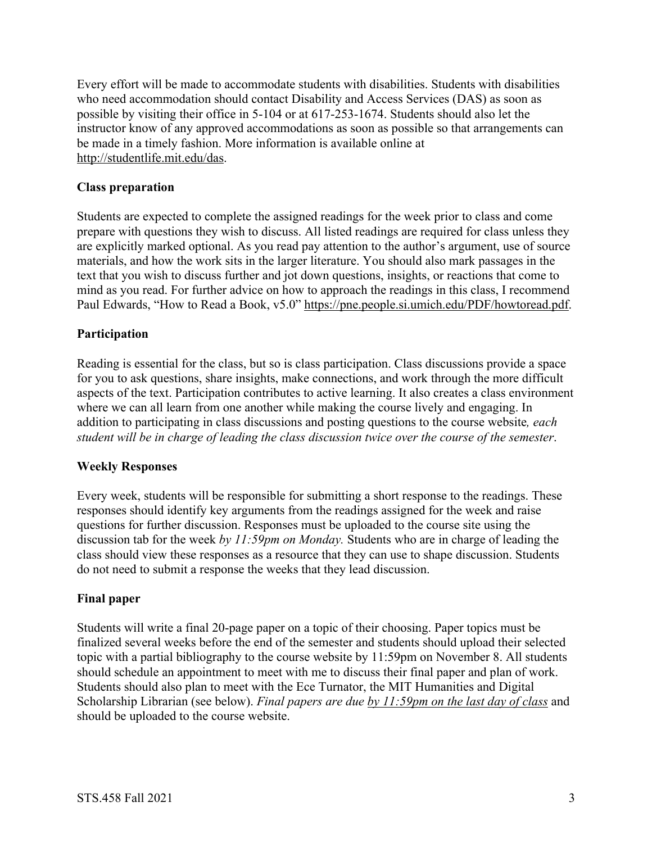Every effort will be made to accommodate students with disabilities. Students with disabilities who need accommodation should contact Disability and Access Services (DAS) as soon as possible by visiting their office in 5-104 or at 617-253-1674. Students should also let the instructor know of any approved accommodations as soon as possible so that arrangements can be made in a timely fashion. More information is available online at http://studentlife.mit.edu/das.

## **Class preparation**

Students are expected to complete the assigned readings for the week prior to class and come prepare with questions they wish to discuss. All listed readings are required for class unless they are explicitly marked optional. As you read pay attention to the author's argument, use of source materials, and how the work sits in the larger literature. You should also mark passages in the text that you wish to discuss further and jot down questions, insights, or reactions that come to mind as you read. For further advice on how to approach the readings in this class, I recommend Paul Edwards, "How to Read a Book, v5.0" https://pne.people.si.umich.edu/PDF/howtoread.pdf.

# **Participation**

Reading is essential for the class, but so is class participation. Class discussions provide a space for you to ask questions, share insights, make connections, and work through the more difficult aspects of the text. Participation contributes to active learning. It also creates a class environment where we can all learn from one another while making the course lively and engaging. In addition to participating in class discussions and posting questions to the course website*, each student will be in charge of leading the class discussion twice over the course of the semester*.

## **Weekly Responses**

Every week, students will be responsible for submitting a short response to the readings. These responses should identify key arguments from the readings assigned for the week and raise questions for further discussion. Responses must be uploaded to the course site using the discussion tab for the week *by 11:59pm on Monday.* Students who are in charge of leading the class should view these responses as a resource that they can use to shape discussion. Students do not need to submit a response the weeks that they lead discussion.

## **Final paper**

Students will write a final 20-page paper on a topic of their choosing. Paper topics must be finalized several weeks before the end of the semester and students should upload their selected topic with a partial bibliography to the course website by 11:59pm on November 8. All students should schedule an appointment to meet with me to discuss their final paper and plan of work. Students should also plan to meet with the Ece Turnator, the MIT Humanities and Digital Scholarship Librarian (see below). *Final papers are due by 11:59pm on the last day of class* and should be uploaded to the course website.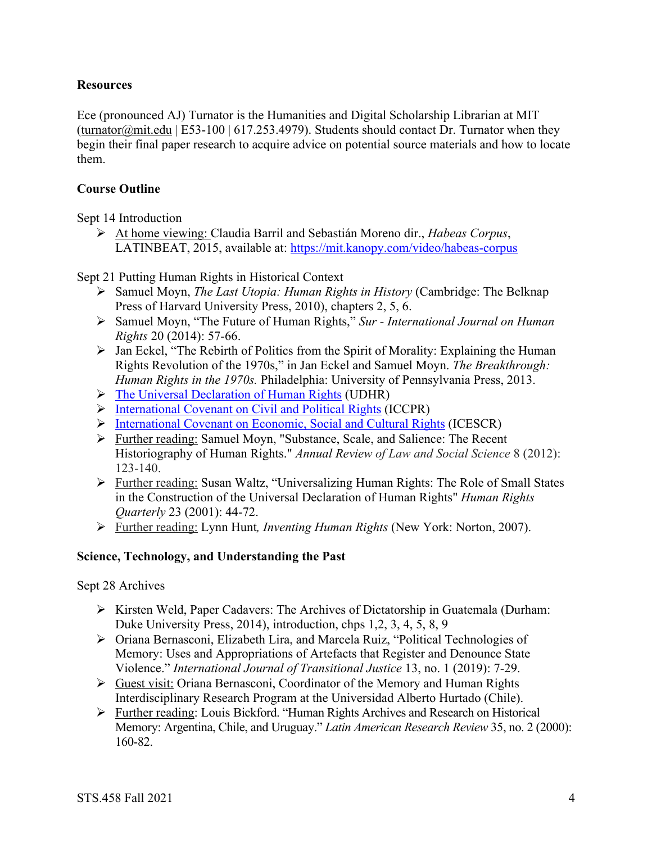## **Resources**

Ece (pronounced AJ) Turnator is the Humanities and Digital Scholarship Librarian at MIT (turnator@mit.edu | E53-100 | 617.253.4979). Students should contact Dr. Turnator when they begin their final paper research to acquire advice on potential source materials and how to locate them.

#### **Course Outline**

Sept 14 Introduction

Ø At home viewing: Claudia Barril and Sebastián Moreno dir., *Habeas Corpus*, LATINBEAT, 2015, available at: https://mit.kanopy.com/video/habeas-corpus

Sept 21 Putting Human Rights in Historical Context

- Ø Samuel Moyn, *The Last Utopia: Human Rights in History* (Cambridge: The Belknap Press of Harvard University Press, 2010), chapters 2, 5, 6.
- Ø Samuel Moyn, "The Future of Human Rights," *Sur - International Journal on Human Rights* 20 (2014): 57-66.
- $\triangleright$  Jan Eckel, "The Rebirth of Politics from the Spirit of Morality: Explaining the Human Rights Revolution of the 1970s," in Jan Eckel and Samuel Moyn. *The Breakthrough: Human Rights in the 1970s.* Philadelphia: University of Pennsylvania Press, 2013.
- $\triangleright$  The Universal Declaration of Human Rights (UDHR)
- Ø International Covenant on Civil and Political Rights (ICCPR)
- $\triangleright$  International Covenant on Economic, Social and Cultural Rights (ICESCR)
- Ø Further reading: Samuel Moyn, "Substance, Scale, and Salience: The Recent Historiography of Human Rights." *Annual Review of Law and Social Science* 8 (2012): 123-140.
- Ø Further reading: Susan Waltz, "Universalizing Human Rights: The Role of Small States in the Construction of the Universal Declaration of Human Rights" *Human Rights Quarterly* 23 (2001): 44-72.
- Ø Further reading: Lynn Hunt*, Inventing Human Rights* (New York: Norton, 2007).

## **Science, Technology, and Understanding the Past**

Sept 28 Archives

- $\triangleright$  Kirsten Weld, Paper Cadavers: The Archives of Dictatorship in Guatemala (Durham: Duke University Press, 2014), introduction, chps 1,2, 3, 4, 5, 8, 9
- Ø Oriana Bernasconi, Elizabeth Lira, and Marcela Ruiz, "Political Technologies of Memory: Uses and Appropriations of Artefacts that Register and Denounce State Violence." *International Journal of Transitional Justice* 13, no. 1 (2019): 7-29.
- $\triangleright$  Guest visit: Oriana Bernasconi, Coordinator of the Memory and Human Rights Interdisciplinary Research Program at the Universidad Alberto Hurtado (Chile).
- Ø Further reading: Louis Bickford. "Human Rights Archives and Research on Historical Memory: Argentina, Chile, and Uruguay." *Latin American Research Review* 35, no. 2 (2000): 160-82.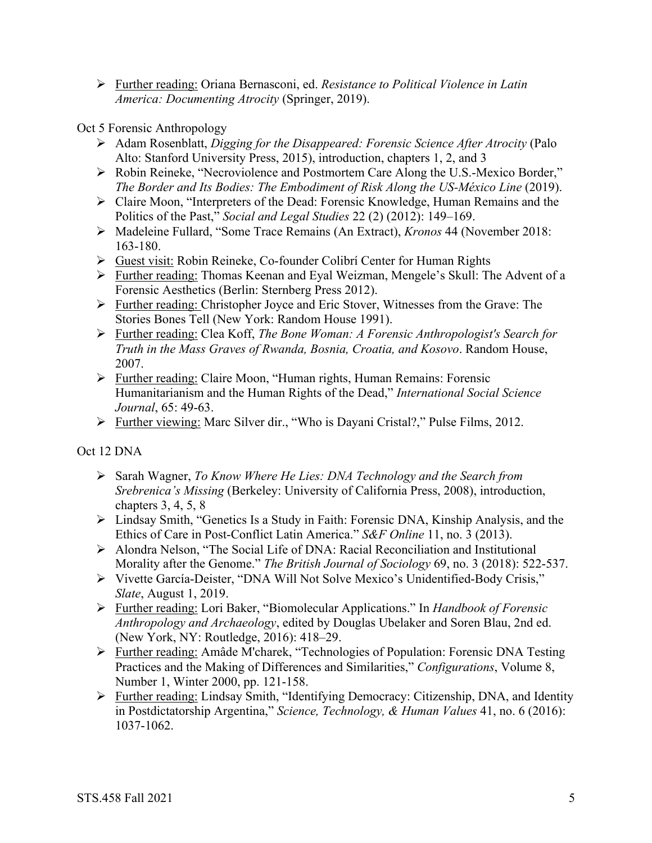Ø Further reading: Oriana Bernasconi, ed. *Resistance to Political Violence in Latin America: Documenting Atrocity* (Springer, 2019).

#### Oct 5 Forensic Anthropology

- Ø Adam Rosenblatt, *Digging for the Disappeared: Forensic Science After Atrocity* (Palo Alto: Stanford University Press, 2015), introduction, chapters 1, 2, and 3
- Ø Robin Reineke, "Necroviolence and Postmortem Care Along the U.S.-Mexico Border," *The Border and Its Bodies: The Embodiment of Risk Along the US-México Line* (2019).
- Ø Claire Moon, "Interpreters of the Dead: Forensic Knowledge, Human Remains and the Politics of the Past," *Social and Legal Studies* 22 (2) (2012): 149–169.
- Ø Madeleine Fullard, "Some Trace Remains (An Extract), *Kronos* 44 (November 2018: 163-180.
- Ø Guest visit: Robin Reineke, Co-founder Colibrí Center for Human Rights
- Ø Further reading: Thomas Keenan and Eyal Weizman, Mengele's Skull: The Advent of a Forensic Aesthetics (Berlin: Sternberg Press 2012).
- Ø Further reading: Christopher Joyce and Eric Stover, Witnesses from the Grave: The Stories Bones Tell (New York: Random House 1991).
- Ø Further reading: Clea Koff, *The Bone Woman: A Forensic Anthropologist's Search for Truth in the Mass Graves of Rwanda, Bosnia, Croatia, and Kosovo*. Random House, 2007.
- Ø Further reading: Claire Moon, "Human rights, Human Remains: Forensic Humanitarianism and the Human Rights of the Dead," *International Social Science Journal*, 65: 49-63.
- Ø Further viewing: Marc Silver dir., "Who is Dayani Cristal?," Pulse Films, 2012.

Oct 12 DNA

- Ø Sarah Wagner, *To Know Where He Lies: DNA Technology and the Search from Srebrenica's Missing* (Berkeley: University of California Press, 2008), introduction, chapters 3, 4, 5, 8
- Ø Lindsay Smith, "Genetics Is a Study in Faith: Forensic DNA, Kinship Analysis, and the Ethics of Care in Post-Conflict Latin America." *S&F Online* 11, no. 3 (2013).
- $\triangleright$  Alondra Nelson, "The Social Life of DNA: Racial Reconciliation and Institutional Morality after the Genome." *The British Journal of Sociology* 69, no. 3 (2018): 522-537.
- Ø Vivette García-Deister, "DNA Will Not Solve Mexico's Unidentified-Body Crisis," *Slate*, August 1, 2019.
- Ø Further reading: Lori Baker, "Biomolecular Applications." In *Handbook of Forensic Anthropology and Archaeology*, edited by Douglas Ubelaker and Soren Blau, 2nd ed. (New York, NY: Routledge, 2016): 418–29.
- Ø Further reading: Amâde M'charek, "Technologies of Population: Forensic DNA Testing Practices and the Making of Differences and Similarities," *Configurations*, Volume 8, Number 1, Winter 2000, pp. 121-158.
- Ø Further reading: Lindsay Smith, "Identifying Democracy: Citizenship, DNA, and Identity in Postdictatorship Argentina," *Science, Technology, & Human Values* 41, no. 6 (2016): 1037-1062.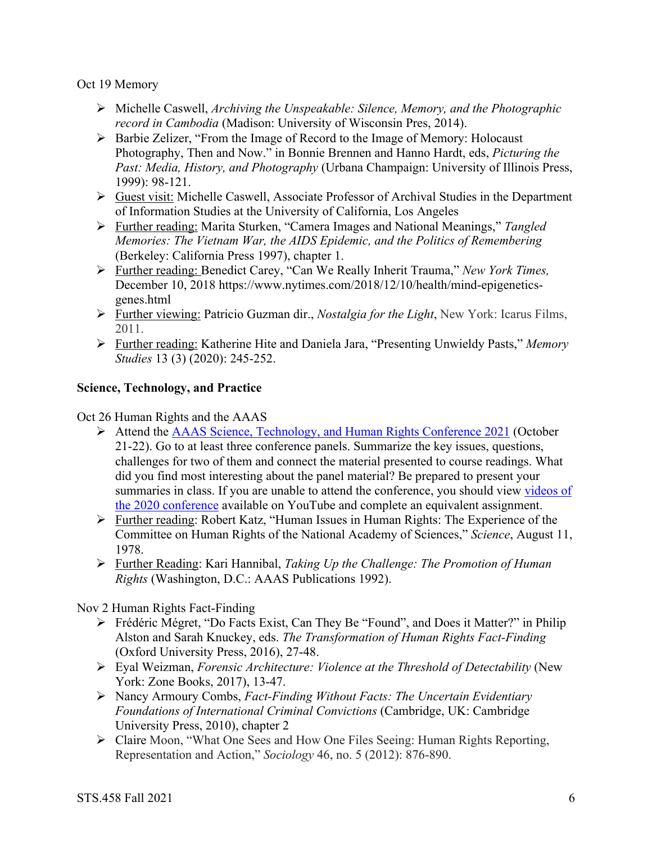Oct 19 Memory

- Ø Michelle Caswell, *Archiving the Unspeakable: Silence, Memory, and the Photographic record in Cambodia* (Madison: University of Wisconsin Pres, 2014).
- Ø Barbie Zelizer, "From the Image of Record to the Image of Memory: Holocaust Photography, Then and Now." in Bonnie Brennen and Hanno Hardt, eds, *Picturing the Past: Media, History, and Photography* (Urbana Champaign: University of Illinois Press, 1999): 98-121.
- $\triangleright$  Guest visit: Michelle Caswell, Associate Professor of Archival Studies in the Department of Information Studies at the University of California, Los Angeles
- Ø Further reading: Marita Sturken, "Camera Images and National Meanings," *Tangled Memories: The Vietnam War, the AIDS Epidemic, and the Politics of Remembering* (Berkeley: California Press 1997), chapter 1.
- Ø Further reading: Benedict Carey, "Can We Really Inherit Trauma," *New York Times,* December 10, 2018 https://www.nytimes.com/2018/12/10/health/mind-epigeneticsgenes.html
- Ø Further viewing: Patricio Guzman dir., *Nostalgia for the Light*, New York: Icarus Films, 2011.
- Ø Further reading: Katherine Hite and Daniela Jara, "Presenting Unwieldy Pasts," *Memory Studies* 13 (3) (2020): 245-252.

## **Science, Technology, and Practice**

Oct 26 Human Rights and the AAAS

- Ø Attend the AAAS Science, Technology, and Human Rights Conference 2021 (October 21-22). Go to at least three conference panels. Summarize the key issues, questions, challenges for two of them and connect the material presented to course readings. What did you find most interesting about the panel material? Be prepared to present your summaries in class. If you are unable to attend the conference, you should view videos of the 2020 conference available on YouTube and complete an equivalent assignment.
- Ø Further reading: Robert Katz, "Human Issues in Human Rights: The Experience of the Committee on Human Rights of the National Academy of Sciences," *Science*, August 11, 1978.
- Ø Further Reading: Kari Hannibal, *Taking Up the Challenge: The Promotion of Human Rights* (Washington, D.C.: AAAS Publications 1992).

Nov 2 Human Rights Fact-Finding

- Ø Frédéric Mégret, "Do Facts Exist, Can They Be "Found", and Does it Matter?" in Philip Alston and Sarah Knuckey, eds. *The Transformation of Human Rights Fact-Finding* (Oxford University Press, 2016), 27-48.
- Ø Eyal Weizman, *Forensic Architecture: Violence at the Threshold of Detectability* (New York: Zone Books, 2017), 13-47.
- Ø Nancy Armoury Combs, *Fact-Finding Without Facts: The Uncertain Evidentiary Foundations of International Criminal Convictions* (Cambridge, UK: Cambridge University Press, 2010), chapter 2
- Ø Claire Moon, "What One Sees and How One Files Seeing: Human Rights Reporting, Representation and Action," *Sociology* 46, no. 5 (2012): 876-890.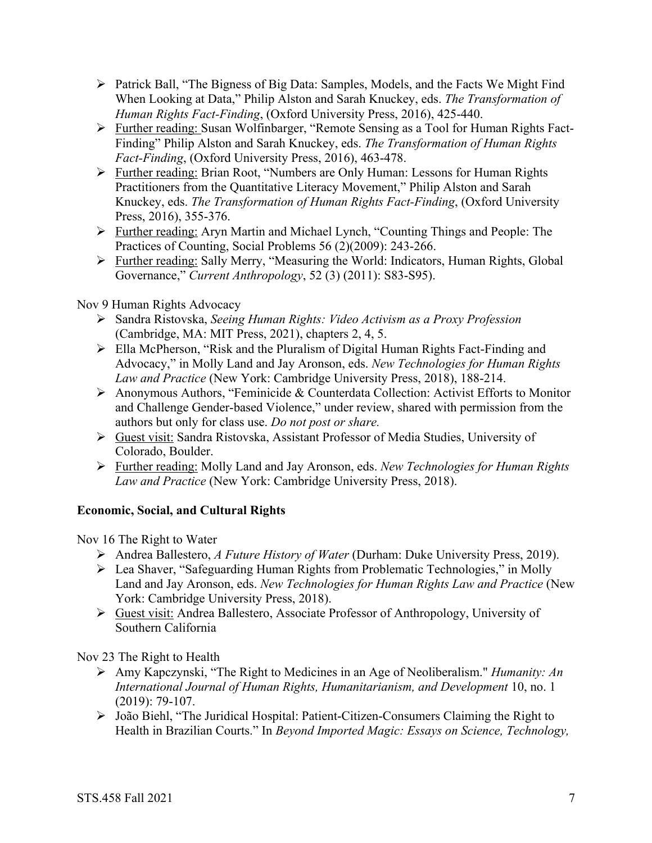- $\triangleright$  Patrick Ball, "The Bigness of Big Data: Samples, Models, and the Facts We Might Find When Looking at Data," Philip Alston and Sarah Knuckey, eds. *The Transformation of Human Rights Fact-Finding*, (Oxford University Press, 2016), 425-440.
- Ø Further reading: Susan Wolfinbarger, "Remote Sensing as a Tool for Human Rights Fact-Finding" Philip Alston and Sarah Knuckey, eds. *The Transformation of Human Rights Fact-Finding*, (Oxford University Press, 2016), 463-478.
- Ø Further reading: Brian Root, "Numbers are Only Human: Lessons for Human Rights Practitioners from the Quantitative Literacy Movement," Philip Alston and Sarah Knuckey, eds. *The Transformation of Human Rights Fact-Finding*, (Oxford University Press, 2016), 355-376.
- Ø Further reading: Aryn Martin and Michael Lynch, "Counting Things and People: The Practices of Counting, Social Problems 56 (2)(2009): 243-266.
- Ø Further reading: Sally Merry, "Measuring the World: Indicators, Human Rights, Global Governance," *Current Anthropology*, 52 (3) (2011): S83-S95).

# Nov 9 Human Rights Advocacy

- Ø Sandra Ristovska, *Seeing Human Rights: Video Activism as a Proxy Profession* (Cambridge, MA: MIT Press, 2021), chapters 2, 4, 5.
- Ø Ella McPherson, "Risk and the Pluralism of Digital Human Rights Fact-Finding and Advocacy," in Molly Land and Jay Aronson, eds. *New Technologies for Human Rights Law and Practice* (New York: Cambridge University Press, 2018), 188-214.
- Ø Anonymous Authors, "Feminicide & Counterdata Collection: Activist Efforts to Monitor and Challenge Gender-based Violence," under review, shared with permission from the authors but only for class use. *Do not post or share.*
- Ø Guest visit: Sandra Ristovska, Assistant Professor of Media Studies, University of Colorado, Boulder.
- Ø Further reading: Molly Land and Jay Aronson, eds. *New Technologies for Human Rights Law and Practice* (New York: Cambridge University Press, 2018).

# **Economic, Social, and Cultural Rights**

Nov 16 The Right to Water

- Ø Andrea Ballestero, *A Future History of Water* (Durham: Duke University Press, 2019).
- Ø Lea Shaver, "Safeguarding Human Rights from Problematic Technologies," in Molly Land and Jay Aronson, eds. *New Technologies for Human Rights Law and Practice* (New York: Cambridge University Press, 2018).
- Ø Guest visit: Andrea Ballestero, Associate Professor of Anthropology, University of Southern California

Nov 23 The Right to Health

- Ø Amy Kapczynski, "The Right to Medicines in an Age of Neoliberalism." *Humanity: An International Journal of Human Rights, Humanitarianism, and Development* 10, no. 1 (2019): 79-107.
- Ø João Biehl, "The Juridical Hospital: Patient-Citizen-Consumers Claiming the Right to Health in Brazilian Courts." In *Beyond Imported Magic: Essays on Science, Technology,*